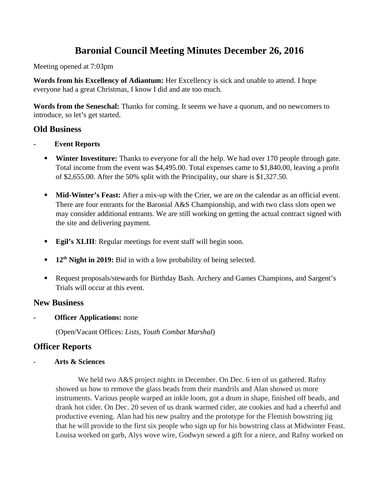# **Baronial Council Meeting Minutes December 26, 2016**

Meeting opened at 7:03pm

**Words from his Excellency of Adiantum:** Her Excellency is sick and unable to attend. I hope everyone had a great Christmas, I know I did and ate too much.

**Words from the Seneschal:** Thanks for coming. It seems we have a quorum, and no newcomers to introduce, so let's get started.

# **Old Business**

- **Event Reports**
	- **Winter Investiture:** Thanks to everyone for all the help. We had over 170 people through gate. Total income from the event was \$4,495.00. Total expenses came to \$1,840.00, leaving a profit of \$2,655.00. After the 50% split with the Principality, our share is \$1,327.50.
	- **Mid-Winter's Feast:** After a mix-up with the Crier, we are on the calendar as an official event. There are four entrants for the Baronial A&S Championship, and with two class slots open we may consider additional entrants. We are still working on getting the actual contract signed with the site and delivering payment.
	- **Egil's XLIII**: Regular meetings for event staff will begin soon.
	- **12th Night in 2019:** Bid in with a low probability of being selected.
	- Request proposals/stewards for Birthday Bash. Archery and Games Champions, and Sargent's Trials will occur at this event.

# **New Business**

**Officer Applications: none** 

(Open/Vacant Offices: *Lists, Youth Combat Marshal*)

# **Officer Reports**

- **Arts & Sciences** 

We held two A&S project nights in December. On Dec. 6 ten of us gathered. Rafny showed us how to remove the glass beads from their mandrils and Alan showed us more instruments. Various people warped an inkle loom, got a drum in shape, finished off beads, and drank hot cider. On Dec. 20 seven of us drank warmed cider, ate cookies and had a cheerful and productive evening. Alan had his new psaltry and the prototype for the Flemish bowstring jig that he will provide to the first six people who sign up for his bowstring class at Midwinter Feast. Louisa worked on garb, Alys wove wire, Godwyn sewed a gift for a niece, and Rafny worked on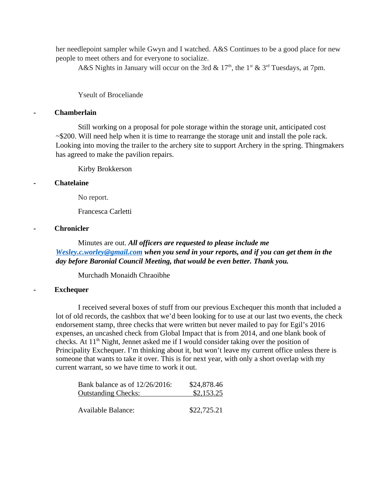her needlepoint sampler while Gwyn and I watched. A&S Continues to be a good place for new people to meet others and for everyone to socialize.

A&S Nights in January will occur on the 3rd &  $17<sup>th</sup>$ , the 1<sup>st</sup> & 3<sup>rd</sup> Tuesdays, at 7pm.

# Yseult of Broceliande

# **- Chamberlain**

Still working on a proposal for pole storage within the storage unit, anticipated cost  $\sim$ \$200. Will need help when it is time to rearrange the storage unit and install the pole rack. Looking into moving the trailer to the archery site to support Archery in the spring. Thingmakers has agreed to make the pavilion repairs.

Kirby Brokkerson

#### **- Chatelaine**

No report.

Francesca Carletti

# **- Chronicler**

# Minutes are out. *All officers are requested to please include me [Wesley.c.worley@gmail.com](mailto:Wesley.c.worley@gmail.com) when you send in your reports, and if you can get them in the day before Baronial Council Meeting, that would be even better. Thank you.*

Murchadh Monaidh Chraoibhe

# **- Exchequer**

I received several boxes of stuff from our previous Exchequer this month that included a lot of old records, the cashbox that we'd been looking for to use at our last two events, the check endorsement stamp, three checks that were written but never mailed to pay for Egil's 2016 expenses, an uncashed check from Global Impact that is from 2014, and one blank book of checks. At  $11<sup>th</sup>$  Night, Jennet asked me if I would consider taking over the position of Principality Exchequer. I'm thinking about it, but won't leave my current office unless there is someone that wants to take it over. This is for next year, with only a short overlap with my current warrant, so we have time to work it out.

| Bank balance as of 12/26/2016: | \$24,878.46 |
|--------------------------------|-------------|
| <b>Outstanding Checks:</b>     | \$2,153.25  |
|                                |             |
| Available Balance:             | \$22,725.21 |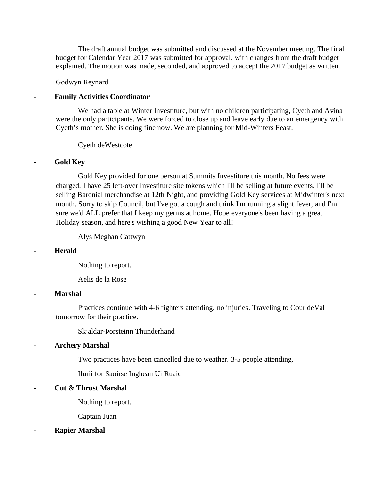The draft annual budget was submitted and discussed at the November meeting. The final budget for Calendar Year 2017 was submitted for approval, with changes from the draft budget explained. The motion was made, seconded, and approved to accept the 2017 budget as written.

Godwyn Reynard

#### **- Family Activities Coordinator**

We had a table at Winter Investiture, but with no children participating, Cyeth and Avina were the only participants. We were forced to close up and leave early due to an emergency with Cyeth's mother. She is doing fine now. We are planning for Mid-Winters Feast.

Cyeth deWestcote

### **- Gold Key**

Gold Key provided for one person at Summits Investiture this month. No fees were charged. I have 25 left-over Investiture site tokens which I'll be selling at future events. I'll be selling Baronial merchandise at 12th Night, and providing Gold Key services at Midwinter's next month. Sorry to skip Council, but I've got a cough and think I'm running a slight fever, and I'm sure we'd ALL prefer that I keep my germs at home. Hope everyone's been having a great Holiday season, and here's wishing a good New Year to all!

Alys Meghan Cattwyn

#### **- Herald**

Nothing to report.

Aelis de la Rose

#### **- Marshal**

Practices continue with 4-6 fighters attending, no injuries. Traveling to Cour deVal tomorrow for their practice.

Skjaldar-Þorsteinn Thunderhand

# **- Archery Marshal**

Two practices have been cancelled due to weather. 3-5 people attending.

Ilurii for Saoirse Inghean Ui Ruaic

# **- Cut & Thrust Marshal**

Nothing to report.

Captain Juan

#### **- Rapier Marshal**